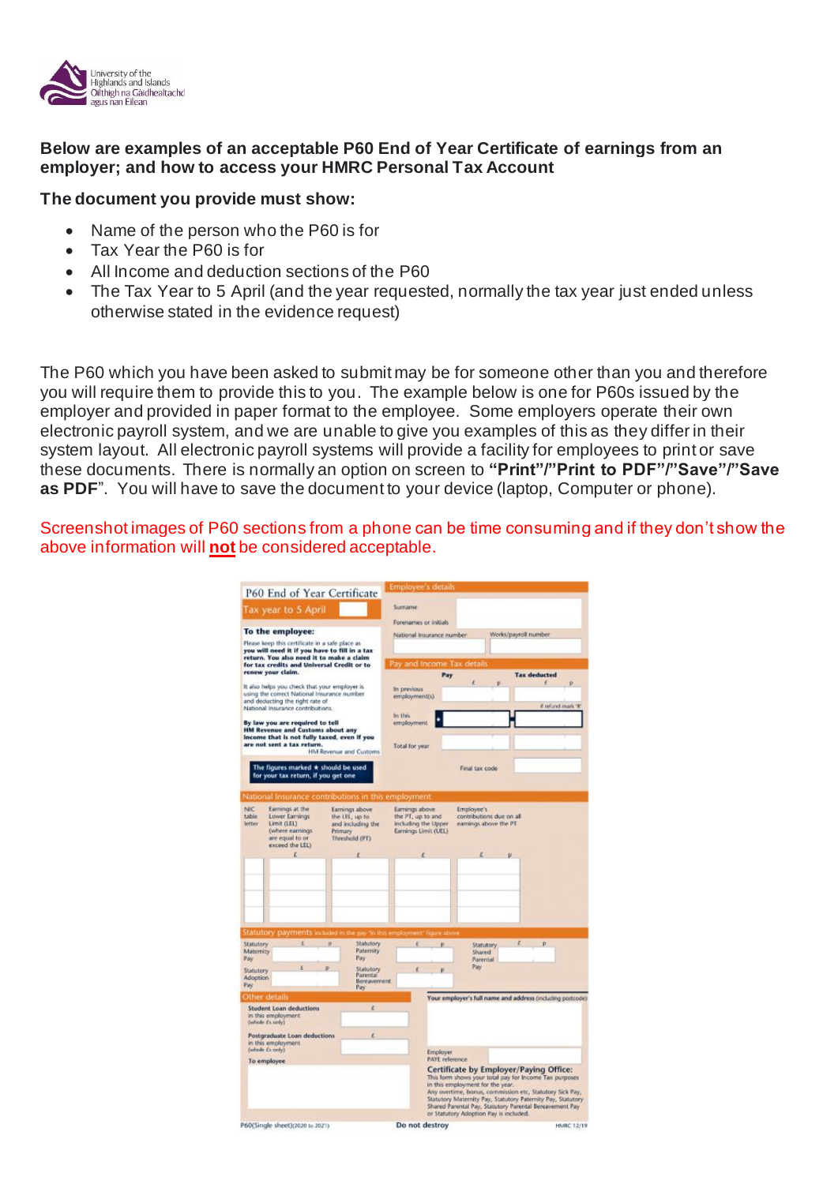

## **Below are examples of an acceptable P60 End of Year Certificate of earnings from an employer; and how to access your HMRC Personal Tax Account**

## **The document you provide must show:**

- Name of the person who the P60 is for
- Tax Year the P60 is for
- All Income and deduction sections of the P60
- The Tax Year to 5 April (and the year requested, normally the tax year just ended unless otherwise stated in the evidence request)

The P60 which you have been asked to submit may be for someone other than you and therefore you will require them to provide this to you. The example below is one for P60s issued by the employer and provided in paper format to the employee. Some employers operate their own electronic payroll system, and we are unable to give you examples of this as they differ in their system layout. All electronic payroll systems will provide a facility for employees to print or save these documents. There is normally an option on screen to **"Print"/"Print to PDF"/"Save"/"Save as PDF**". You will have to save the document to your device (laptop, Computer or phone).

Screenshot images of P60 sections from a phone can be time consuming and if they don't show the above information will **not** be considered acceptable.

|                                                                                                                                                                                                                                                                                                                                                                                                                                                                                                                                                                                           |                                                                                                            | P60 End of Year Certificate                                                        | <b>Employee's details</b>                                                          |                                                                            |                                                                 |                                        |                                                                                                                                                                                                                                                                                         |
|-------------------------------------------------------------------------------------------------------------------------------------------------------------------------------------------------------------------------------------------------------------------------------------------------------------------------------------------------------------------------------------------------------------------------------------------------------------------------------------------------------------------------------------------------------------------------------------------|------------------------------------------------------------------------------------------------------------|------------------------------------------------------------------------------------|------------------------------------------------------------------------------------|----------------------------------------------------------------------------|-----------------------------------------------------------------|----------------------------------------|-----------------------------------------------------------------------------------------------------------------------------------------------------------------------------------------------------------------------------------------------------------------------------------------|
|                                                                                                                                                                                                                                                                                                                                                                                                                                                                                                                                                                                           | Tax year to 5 April                                                                                        |                                                                                    | Surname<br>Forenames or initials                                                   |                                                                            |                                                                 |                                        |                                                                                                                                                                                                                                                                                         |
| To the employee:<br>Please keep this certificate in a safe place as<br>you will need it if you have to fill in a tax<br>return. You also need it to make a claim<br>for tax credits and Universal Credit or to<br>renew your claim.<br>It also helps you check that your employer is<br>using the correct National Insurance number<br>and deducting the right rate of<br>National Insurance contributions.<br>By law you are required to tell<br>HM Revenue and Customs about any<br>income that is not fully taxed, even if you<br>are not sent a tax return.<br>HM Revenue and Customs |                                                                                                            |                                                                                    | Works/payroll number<br>National Insurance number<br>Pay and Income Tax details    |                                                                            |                                                                 |                                        |                                                                                                                                                                                                                                                                                         |
|                                                                                                                                                                                                                                                                                                                                                                                                                                                                                                                                                                                           |                                                                                                            |                                                                                    |                                                                                    |                                                                            |                                                                 |                                        |                                                                                                                                                                                                                                                                                         |
|                                                                                                                                                                                                                                                                                                                                                                                                                                                                                                                                                                                           |                                                                                                            |                                                                                    | employment<br><b>Total for year</b>                                                |                                                                            |                                                                 |                                        |                                                                                                                                                                                                                                                                                         |
|                                                                                                                                                                                                                                                                                                                                                                                                                                                                                                                                                                                           |                                                                                                            |                                                                                    |                                                                                    | The figures marked * should be used<br>for your tax return, if you get one |                                                                 |                                        |                                                                                                                                                                                                                                                                                         |
|                                                                                                                                                                                                                                                                                                                                                                                                                                                                                                                                                                                           |                                                                                                            | National Insurance contributions in this employment                                |                                                                                    |                                                                            |                                                                 |                                        |                                                                                                                                                                                                                                                                                         |
| NIC<br>table<br>letter                                                                                                                                                                                                                                                                                                                                                                                                                                                                                                                                                                    | Earnings at the<br>Lower Earnings<br>Limit (LEL)<br>(where earnings)<br>are equal to or<br>exceed the LEL) | Earnings above<br>the LEL, up to<br>and including the<br>Primary<br>Threshold (PT) | Earnings above<br>the PT, up to and<br>including the Upper<br>Earnings Limit (UEL) |                                                                            | Employee's<br>contributions due on all<br>earnings above the PT |                                        |                                                                                                                                                                                                                                                                                         |
|                                                                                                                                                                                                                                                                                                                                                                                                                                                                                                                                                                                           | r                                                                                                          | r                                                                                  | x                                                                                  |                                                                            | L                                                               | p.                                     |                                                                                                                                                                                                                                                                                         |
|                                                                                                                                                                                                                                                                                                                                                                                                                                                                                                                                                                                           |                                                                                                            | Statutory payments included in the pay 'In this employment' figure above           |                                                                                    |                                                                            |                                                                 |                                        |                                                                                                                                                                                                                                                                                         |
| Statutory                                                                                                                                                                                                                                                                                                                                                                                                                                                                                                                                                                                 |                                                                                                            | ø<br>Statutory                                                                     | ×                                                                                  | p                                                                          | Statutory                                                       |                                        | p                                                                                                                                                                                                                                                                                       |
| Matemity<br>Pay                                                                                                                                                                                                                                                                                                                                                                                                                                                                                                                                                                           |                                                                                                            | Patemity<br>Pay                                                                    |                                                                                    |                                                                            | <b>Shared</b><br>Parental                                       |                                        |                                                                                                                                                                                                                                                                                         |
| Statutory<br><b>Adoption</b><br>Pay                                                                                                                                                                                                                                                                                                                                                                                                                                                                                                                                                       | ŧ                                                                                                          | b<br>Statutory<br>Parental<br>Bereavement<br>Pay                                   | £                                                                                  | в                                                                          | Pay                                                             |                                        |                                                                                                                                                                                                                                                                                         |
| Other details                                                                                                                                                                                                                                                                                                                                                                                                                                                                                                                                                                             |                                                                                                            |                                                                                    |                                                                                    |                                                                            |                                                                 |                                        | Your employer's full name and address (including postcode)                                                                                                                                                                                                                              |
|                                                                                                                                                                                                                                                                                                                                                                                                                                                                                                                                                                                           | Student Loan deductions<br>in this employment.<br>(whole fs anty)                                          | E                                                                                  |                                                                                    |                                                                            |                                                                 |                                        |                                                                                                                                                                                                                                                                                         |
| Postgraduate Loan deductions<br>in this employment<br>(whole £sicaly)                                                                                                                                                                                                                                                                                                                                                                                                                                                                                                                     |                                                                                                            |                                                                                    |                                                                                    | Employer                                                                   |                                                                 |                                        |                                                                                                                                                                                                                                                                                         |
| To employee                                                                                                                                                                                                                                                                                                                                                                                                                                                                                                                                                                               |                                                                                                            |                                                                                    |                                                                                    | <b>PAYE</b> reference                                                      |                                                                 |                                        |                                                                                                                                                                                                                                                                                         |
|                                                                                                                                                                                                                                                                                                                                                                                                                                                                                                                                                                                           |                                                                                                            |                                                                                    |                                                                                    |                                                                            | in this employment for the year.                                | or Statutory Adoption Pay is included. | Certificate by Employer/Paying Office:<br>This form shows your total pay for Income Tax purposes<br>Any overtime, bonus, commission etc, Statutory Sick Pay,<br>Statutory Maternity Pay, Statutory Paternity Pay, Statutory<br>Shared Parental Pay, Statutory Parental Bereavement Pay. |
|                                                                                                                                                                                                                                                                                                                                                                                                                                                                                                                                                                                           | P60(Single sheet)(2020 to 2021)                                                                            |                                                                                    | Do not destroy                                                                     |                                                                            |                                                                 |                                        | <b>HMRC 12/19</b>                                                                                                                                                                                                                                                                       |